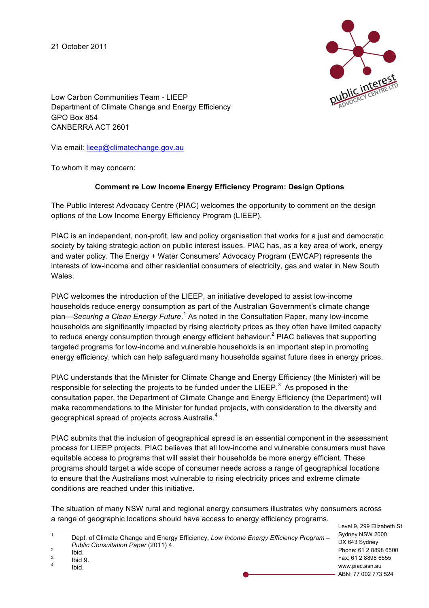21 October 2011



Low Carbon Communities Team - LIEEP Department of Climate Change and Energy Efficiency GPO Box 854 CANBERRA ACT 2601

Via email: lieep@climatechange.gov.au

To whom it may concern:

## **Comment re Low Income Energy Efficiency Program: Design Options**

The Public Interest Advocacy Centre (PIAC) welcomes the opportunity to comment on the design options of the Low Income Energy Efficiency Program (LIEEP).

PIAC is an independent, non-profit, law and policy organisation that works for a just and democratic society by taking strategic action on public interest issues. PIAC has, as a key area of work, energy and water policy. The Energy + Water Consumers' Advocacy Program (EWCAP) represents the interests of low-income and other residential consumers of electricity, gas and water in New South **Wales** 

PIAC welcomes the introduction of the LIEEP, an initiative developed to assist low-income households reduce energy consumption as part of the Australian Government's climate change plan—*Securing a Clean Energy Future*. <sup>1</sup> As noted in the Consultation Paper, many low-income households are significantly impacted by rising electricity prices as they often have limited capacity to reduce energy consumption through energy efficient behaviour. $^2$  PIAC believes that supporting targeted programs for low-income and vulnerable households is an important step in promoting energy efficiency, which can help safeguard many households against future rises in energy prices.

PIAC understands that the Minister for Climate Change and Energy Efficiency (the Minister) will be responsible for selecting the projects to be funded under the LIEEP.<sup>3</sup> As proposed in the consultation paper, the Department of Climate Change and Energy Efficiency (the Department) will make recommendations to the Minister for funded projects, with consideration to the diversity and geographical spread of projects across Australia. $^{\rm 4}$ 

PIAC submits that the inclusion of geographical spread is an essential component in the assessment process for LIEEP projects. PIAC believes that all low-income and vulnerable consumers must have equitable access to programs that will assist their households be more energy efficient. These programs should target a wide scope of consumer needs across a range of geographical locations to ensure that the Australians most vulnerable to rising electricity prices and extreme climate conditions are reached under this initiative.

The situation of many NSW rural and regional energy consumers illustrates why consumers across a range of geographic locations should have access to energy efficiency programs.

Level 9, 299 Elizabeth St Sydney NSW 2000 DX 643 Sydney Phone: 61 2 8898 6500 Fax: 61 2 8898 6555 www.piac.asn.au ABN: 77 002 773 524

 <sup>1</sup> Dept. of Climate Change and Energy Efficiency, *Low Income Energy Efficiency Program – Public Consultation Paper* (2011) 4.<br>
<sup>2</sup> Ibid.<br>
<sup>3</sup> Ibid 9.<br>
<sup>4</sup> Ibid.